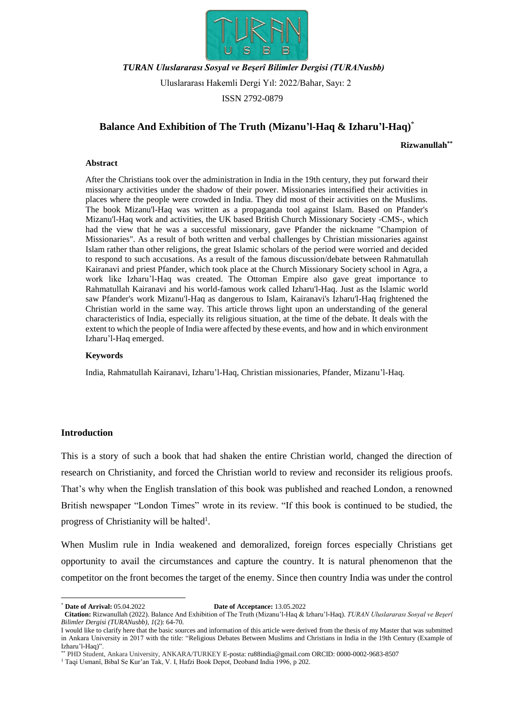

## *TURAN Uluslararası Sosyal ve Beşerî Bilimler Dergisi (TURANusbb)*

Uluslararası Hakemli Dergi Yıl: 2022/Bahar, Sayı: 2

ISSN 2792-0879

# **Balance And Exhibition of The Truth (Mizanu'l-Haq & Izharu'l-Haq)** \*

**Rizwanullah\*\***

### **Abstract**

After the Christians took over the administration in India in the 19th century, they put forward their missionary activities under the shadow of their power. Missionaries intensified their activities in places where the people were crowded in India. They did most of their activities on the Muslims. The book Mizanu'l-Haq was written as a propaganda tool against Islam. Based on Pfander's Mizanu'l-Haq work and activities, the UK based British Church Missionary Society -CMS-, which had the view that he was a successful missionary, gave Pfander the nickname "Champion of Missionaries". As a result of both written and verbal challenges by Christian missionaries against Islam rather than other religions, the great Islamic scholars of the period were worried and decided to respond to such accusations. As a result of the famous discussion/debate between Rahmatullah Kairanavi and priest Pfander, which took place at the Church Missionary Society school in Agra, a work like Izharu'l-Haq was created. The Ottoman Empire also gave great importance to Rahmatullah Kairanavi and his world-famous work called Izharu'l-Haq. Just as the Islamic world saw Pfander's work Mizanu'l-Haq as dangerous to Islam, Kairanavi's Izharu'l-Haq frightened the Christian world in the same way. This article throws light upon an understanding of the general characteristics of India, especially its religious situation, at the time of the debate. It deals with the extent to which the people of India were affected by these events, and how and in which environment Izharu'l-Haq emerged.

### **Keywords**

India, Rahmatullah Kairanavi, Izharu'l-Haq, Christian missionaries, Pfander, Mizanu'l-Haq.

### **Introduction**

This is a story of such a book that had shaken the entire Christian world, changed the direction of research on Christianity, and forced the Christian world to review and reconsider its religious proofs. That's why when the English translation of this book was published and reached London, a renowned British newspaper "London Times" wrote in its review. "If this book is continued to be studied, the progress of Christianity will be halted<sup>1</sup>.

When Muslim rule in India weakened and demoralized, foreign forces especially Christians get opportunity to avail the circumstances and capture the country. It is natural phenomenon that the competitor on the front becomes the target of the enemy. Since then country India was under the control

1

<sup>\*</sup> **Date of Arrival:** 05.04.2022 **Date of Acceptance:** 13.05.2022

**Citation:** Rizwanullah (2022). Balance And Exhibition of The Truth (Mizanu'l-Haq & Izharu'l-Haq). *TURAN Uluslararası Sosyal ve Beşerî Bilimler Dergisi (TURANusbb), 1*(2): 64-70.

I would like to clarify here that the basic sources and information of this article were derived from the thesis of my Master that was submitted in Ankara University in 2017 with the title: "Religious Debates Between Muslims and Christians in India in the 19th Century (Example of Izharu'l-Haq)".

<sup>\*\*</sup> PHD Student, Ankara University, ANKARA/TURKEY E-posta: ru88india@gmail.com ORCID: 0000-0002-9683-8507

<sup>1</sup> Taqi Usmanî, Bibal Se Kur'an Tak, V. I, Hafzi Book Depot, Deoband India 1996, p 202.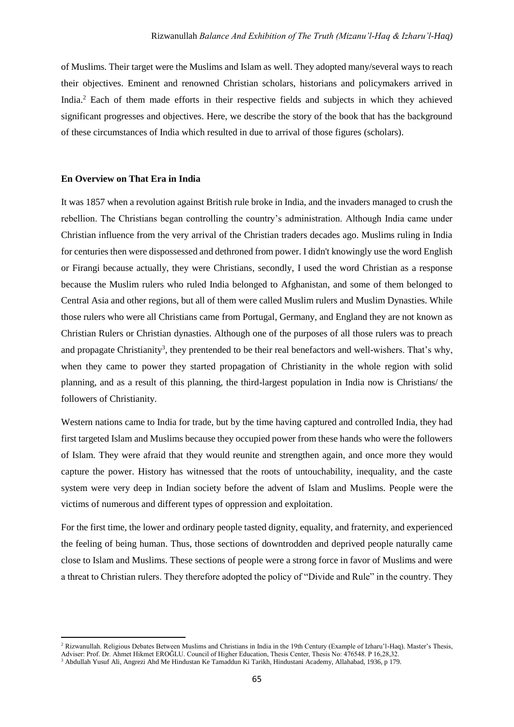of Muslims. Their target were the Muslims and Islam as well. They adopted many/several ways to reach their objectives. Eminent and renowned Christian scholars, historians and policymakers arrived in India. <sup>2</sup> Each of them made efforts in their respective fields and subjects in which they achieved significant progresses and objectives. Here, we describe the story of the book that has the background of these circumstances of India which resulted in due to arrival of those figures (scholars).

### **En Overview on That Era in India**

**.** 

It was 1857 when a revolution against British rule broke in India, and the invaders managed to crush the rebellion. The Christians began controlling the country's administration. Although India came under Christian influence from the very arrival of the Christian traders decades ago. Muslims ruling in India for centuries then were dispossessed and dethroned from power. I didn't knowingly use the word English or Firangi because actually, they were Christians, secondly, I used the word Christian as a response because the Muslim rulers who ruled India belonged to Afghanistan, and some of them belonged to Central Asia and other regions, but all of them were called Muslim rulers and Muslim Dynasties. While those rulers who were all Christians came from Portugal, Germany, and England they are not known as Christian Rulers or Christian dynasties. Although one of the purposes of all those rulers was to preach and propagate Christianity<sup>3</sup>, they prentended to be their real benefactors and well-wishers. That's why, when they came to power they started propagation of Christianity in the whole region with solid planning, and as a result of this planning, the third-largest population in India now is Christians/ the followers of Christianity.

Western nations came to India for trade, but by the time having captured and controlled India, they had first targeted Islam and Muslims because they occupied power from these hands who were the followers of Islam. They were afraid that they would reunite and strengthen again, and once more they would capture the power. History has witnessed that the roots of untouchability, inequality, and the caste system were very deep in Indian society before the advent of Islam and Muslims. People were the victims of numerous and different types of oppression and exploitation.

For the first time, the lower and ordinary people tasted dignity, equality, and fraternity, and experienced the feeling of being human. Thus, those sections of downtrodden and deprived people naturally came close to Islam and Muslims. These sections of people were a strong force in favor of Muslims and were a threat to Christian rulers. They therefore adopted the policy of "Divide and Rule" in the country. They

<sup>&</sup>lt;sup>2</sup> Rizwanullah. Religious Debates Between Muslims and Christians in India in the 19th Century (Example of Izharu'l-Haq). Master's Thesis, Adviser: Prof. Dr. Ahmet Hikmet EROĞLU. Council of Higher Education, Thesis Center, Thesis No: 476548. P 16,28,32.

<sup>3</sup> Abdullah Yusuf Ali, Angrezi Ahd Me Hindustan Ke Tamaddun Ki Tarikh, Hindustani Academy, Allahabad, 1936, p 179.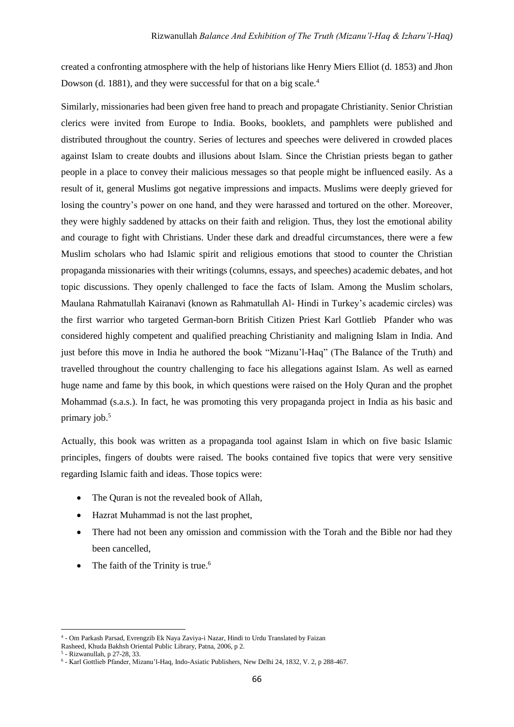created a confronting atmosphere with the help of historians like Henry Miers Elliot (d. 1853) and Jhon Dowson (d. 1881), and they were successful for that on a big scale.<sup>4</sup>

Similarly, missionaries had been given free hand to preach and propagate Christianity. Senior Christian clerics were invited from Europe to India. Books, booklets, and pamphlets were published and distributed throughout the country. Series of lectures and speeches were delivered in crowded places against Islam to create doubts and illusions about Islam. Since the Christian priests began to gather people in a place to convey their malicious messages so that people might be influenced easily. As a result of it, general Muslims got negative impressions and impacts. Muslims were deeply grieved for losing the country's power on one hand, and they were harassed and tortured on the other. Moreover, they were highly saddened by attacks on their faith and religion. Thus, they lost the emotional ability and courage to fight with Christians. Under these dark and dreadful circumstances, there were a few Muslim scholars who had Islamic spirit and religious emotions that stood to counter the Christian propaganda missionaries with their writings (columns, essays, and speeches) academic debates, and hot topic discussions. They openly challenged to face the facts of Islam. Among the Muslim scholars, Maulana Rahmatullah Kairanavi (known as Rahmatullah Al- Hindi in Turkey's academic circles) was the first warrior who targeted German-born British Citizen Priest Karl Gottlieb Pfander who was considered highly competent and qualified preaching Christianity and maligning Islam in India. And just before this move in India he authored the book "Mizanu'l-Haq" (The Balance of the Truth) and travelled throughout the country challenging to face his allegations against Islam. As well as earned huge name and fame by this book, in which questions were raised on the Holy Quran and the prophet Mohammad (s.a.s.). In fact, he was promoting this very propaganda project in India as his basic and primary job. 5

Actually, this book was written as a propaganda tool against Islam in which on five basic Islamic principles, fingers of doubts were raised. The books contained five topics that were very sensitive regarding Islamic faith and ideas. Those topics were:

- The Quran is not the revealed book of Allah,
- Hazrat Muhammad is not the last prophet,
- There had not been any omission and commission with the Torah and the Bible nor had they been cancelled,
- The faith of the Trinity is true.<sup>6</sup>

**.** 

<sup>4</sup> - Om Parkash Parsad, Evrengzib Ek Naya Zaviya-i Nazar, Hindi to Urdu Translated by Faizan

Rasheed, Khuda Bakhsh Oriental Public Library, Patna, 2006, p 2.

<sup>5</sup> - Rizwanullah, p 27-28, 33.

<sup>6</sup> - Karl Gottlieb Pfander, Mizanu'l-Haq, Indo-Asiatic Publishers, New Delhi 24, 1832, V. 2, p 288-467.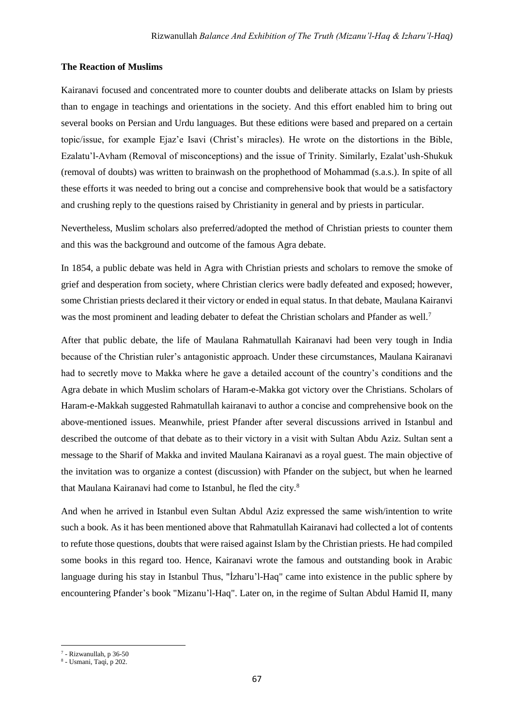## **The Reaction of Muslims**

Kairanavi focused and concentrated more to counter doubts and deliberate attacks on Islam by priests than to engage in teachings and orientations in the society. And this effort enabled him to bring out several books on Persian and Urdu languages. But these editions were based and prepared on a certain topic/issue, for example Ejaz'e Isavi (Christ's miracles). He wrote on the distortions in the Bible, Ezalatu'l-Avham (Removal of misconceptions) and the issue of Trinity. Similarly, Ezalat'ush-Shukuk (removal of doubts) was written to brainwash on the prophethood of Mohammad (s.a.s.). In spite of all these efforts it was needed to bring out a concise and comprehensive book that would be a satisfactory and crushing reply to the questions raised by Christianity in general and by priests in particular.

Nevertheless, Muslim scholars also preferred/adopted the method of Christian priests to counter them and this was the background and outcome of the famous Agra debate.

In 1854, a public debate was held in Agra with Christian priests and scholars to remove the smoke of grief and desperation from society, where Christian clerics were badly defeated and exposed; however, some Christian priests declared it their victory or ended in equal status. In that debate, Maulana Kairanvi was the most prominent and leading debater to defeat the Christian scholars and Pfander as well.<sup>7</sup>

After that public debate, the life of Maulana Rahmatullah Kairanavi had been very tough in India because of the Christian ruler's antagonistic approach. Under these circumstances, Maulana Kairanavi had to secretly move to Makka where he gave a detailed account of the country's conditions and the Agra debate in which Muslim scholars of Haram-e-Makka got victory over the Christians. Scholars of Haram-e-Makkah suggested Rahmatullah kairanavi to author a concise and comprehensive book on the above-mentioned issues. Meanwhile, priest Pfander after several discussions arrived in Istanbul and described the outcome of that debate as to their victory in a visit with Sultan Abdu Aziz. Sultan sent a message to the Sharif of Makka and invited Maulana Kairanavi as a royal guest. The main objective of the invitation was to organize a contest (discussion) with Pfander on the subject, but when he learned that Maulana Kairanavi had come to Istanbul, he fled the city.<sup>8</sup>

And when he arrived in Istanbul even Sultan Abdul Aziz expressed the same wish/intention to write such a book. As it has been mentioned above that Rahmatullah Kairanavi had collected a lot of contents to refute those questions, doubts that were raised against Islam by the Christian priests. He had compiled some books in this regard too. Hence, Kairanavi wrote the famous and outstanding book in Arabic language during his stay in Istanbul Thus, "İzharu'l-Haq" came into existence in the public sphere by encountering Pfander's book "Mizanu'l-Haq". Later on, in the regime of Sultan Abdul Hamid II, many

**<sup>.</sup>**  $7$  - Rizwanullah, p 36-50

<sup>8</sup> - Usmani, Taqi, p 202.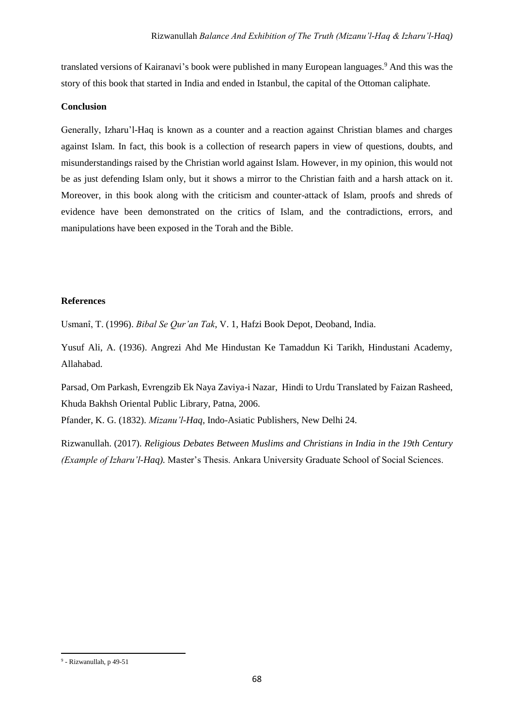translated versions of Kairanavi's book were published in many European languages.<sup>9</sup> And this was the story of this book that started in India and ended in Istanbul, the capital of the Ottoman caliphate.

## **Conclusion**

Generally, Izharu'l-Haq is known as a counter and a reaction against Christian blames and charges against Islam. In fact, this book is a collection of research papers in view of questions, doubts, and misunderstandings raised by the Christian world against Islam. However, in my opinion, this would not be as just defending Islam only, but it shows a mirror to the Christian faith and a harsh attack on it. Moreover, in this book along with the criticism and counter-attack of Islam, proofs and shreds of evidence have been demonstrated on the critics of Islam, and the contradictions, errors, and manipulations have been exposed in the Torah and the Bible.

## **References**

Usmanî, T. (1996). *Bibal Se Qur'an Tak*, V. 1, Hafzi Book Depot, Deoband, India.

Yusuf Ali, A. (1936). Angrezi Ahd Me Hindustan Ke Tamaddun Ki Tarikh, Hindustani Academy, Allahabad.

Parsad, Om Parkash, Evrengzib Ek Naya Zaviya-i Nazar, Hindi to Urdu Translated by Faizan Rasheed, Khuda Bakhsh Oriental Public Library, Patna, 2006.

Pfander, K. G. (1832). *Mizanu'l-Haq*, Indo-Asiatic Publishers, New Delhi 24.

Rizwanullah. (2017). *Religious Debates Between Muslims and Christians in India in the 19th Century (Example of Izharu'l-Haq).* Master's Thesis. Ankara University Graduate School of Social Sciences.

<sup>1</sup> <sup>9</sup> - Rizwanullah, p 49-51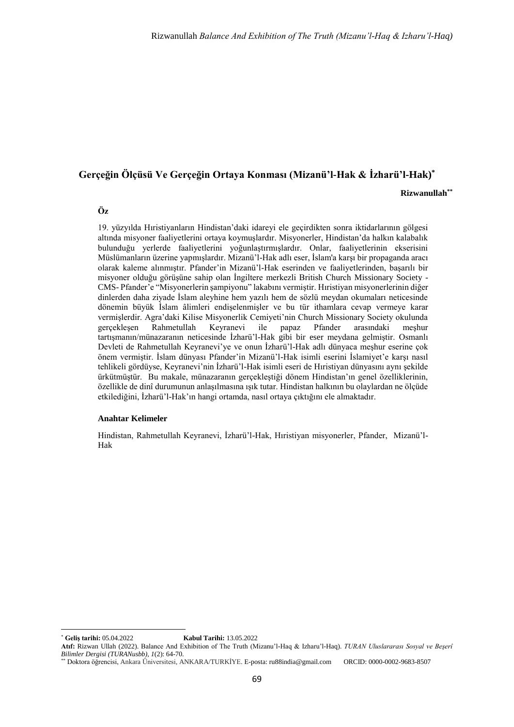# **Gerçeğin Ölçüsü Ve Gerçeğin Ortaya Konması (Mizanü'l-Hak & İzharü'l-Hak)\***

**Rizwanullah\*\***

### **Öz**

19. yüzyılda Hıristiyanların Hindistan'daki idareyi ele geçirdikten sonra iktidarlarının gölgesi altında misyoner faaliyetlerini ortaya koymuşlardır. Misyonerler, Hindistan'da halkın kalabalık bulunduğu yerlerde faaliyetlerini yoğunlaştırmışlardır. Onlar, faaliyetlerinin ekserisini Müslümanların üzerine yapmışlardır. Mizanü'l-Hak adlı eser, İslam'a karşı bir propaganda aracı olarak kaleme alınmıştır. Pfander'in Mizanü'l-Hak eserinden ve faaliyetlerinden, başarılı bir misyoner olduğu görüşüne sahip olan İngiltere merkezli British Church Missionary Society - CMS- Pfander'e "Misyonerlerin şampiyonu" lakabını vermiştir. Hıristiyan misyonerlerinin diğer dinlerden daha ziyade İslam aleyhine hem yazılı hem de sözlü meydan okumaları neticesinde dönemin büyük İslam âlimleri endişelenmişler ve bu tür ithamlara cevap vermeye karar vermişlerdir. Agra'daki Kilise Misyonerlik Cemiyeti'nin Church Missionary Society okulunda gerçekleşen Rahmetullah Keyranevi ile papaz Pfander arasındaki meşhur tartışmanın/münazaranın neticesinde İzharü'l-Hak gibi bir eser meydana gelmiştir. Osmanlı Devleti de Rahmetullah Keyranevi'ye ve onun İzharü'l-Hak adlı dünyaca meşhur eserine çok önem vermiştir. İslam dünyası Pfander'in Mizanü'l-Hak isimli eserini İslamiyet'e karşı nasıl tehlikeli gördüyse, Keyranevi'nin İzharü'l-Hak isimli eseri de Hıristiyan dünyasını aynı şekilde ürkütmüştür. Bu makale, münazaranın gerçekleştiği dönem Hindistan'ın genel özelliklerinin, özellikle de dinî durumunun anlaşılmasına ışık tutar. Hindistan halkının bu olaylardan ne ölçüde etkilediğini, İzharü'l-Hak'ın hangi ortamda, nasıl ortaya çıktığını ele almaktadır.

#### **Anahtar Kelimeler**

Hindistan, Rahmetullah Keyranevi, İzharü'l-Hak, Hıristiyan misyonerler, Pfander, Mizanü'l-Hak

**.** 

<sup>\*</sup> **Geliş tarihi:** 05.04.2022 **Kabul Tarihi:** 13.05.2022

**Atıf:** Rizwan Ullah (2022). Balance And Exhibition of The Truth (Mizanu'l-Haq & Izharu'l-Haq). *TURAN Uluslararası Sosyal ve Beşerî Bilimler Dergisi (TURANusbb), 1*(2): 64-70.

<sup>\*\*</sup> Doktora öğrencisi, Ankara Üniversitesi, ANKARA/TURKİYE. E-posta: ru88india@gmail.com ORCID: 0000-0002-9683-8507